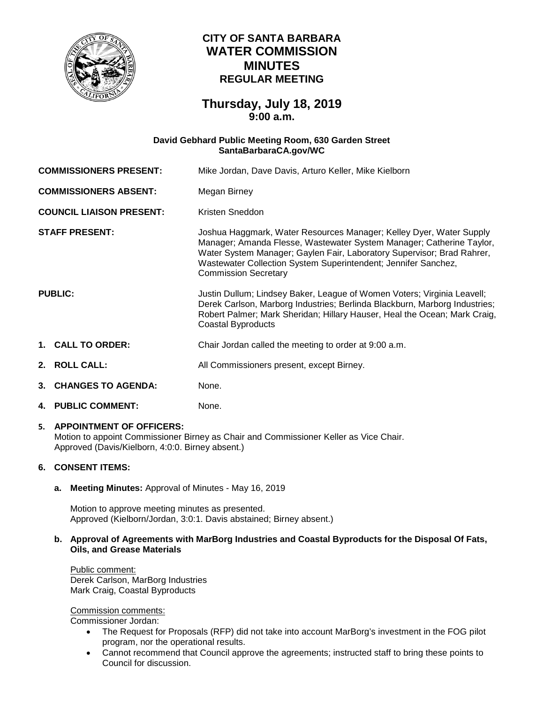

# **CITY OF SANTA BARBARA WATER COMMISSION MINUTES REGULAR MEETING**

# **Thursday, July 18, 2019 9:00 a.m.**

# **David Gebhard Public Meeting Room, 630 Garden Street [SantaBarbaraCA.gov/WC](https://www.santabarbaraca.gov/gov/brdcomm/nz/water/agendas.asp)**

| <b>COMMISSIONERS PRESENT:</b>   |                           | Mike Jordan, Dave Davis, Arturo Keller, Mike Kielborn                                                                                                                                                                                                                                                                  |
|---------------------------------|---------------------------|------------------------------------------------------------------------------------------------------------------------------------------------------------------------------------------------------------------------------------------------------------------------------------------------------------------------|
| <b>COMMISSIONERS ABSENT:</b>    |                           | Megan Birney                                                                                                                                                                                                                                                                                                           |
| <b>COUNCIL LIAISON PRESENT:</b> |                           | Kristen Sneddon                                                                                                                                                                                                                                                                                                        |
| <b>STAFF PRESENT:</b>           |                           | Joshua Haggmark, Water Resources Manager; Kelley Dyer, Water Supply<br>Manager; Amanda Flesse, Wastewater System Manager; Catherine Taylor,<br>Water System Manager; Gaylen Fair, Laboratory Supervisor; Brad Rahrer,<br>Wastewater Collection System Superintendent; Jennifer Sanchez,<br><b>Commission Secretary</b> |
| <b>PUBLIC:</b>                  |                           | Justin Dullum; Lindsey Baker, League of Women Voters; Virginia Leavell;<br>Derek Carlson, Marborg Industries; Berlinda Blackburn, Marborg Industries;<br>Robert Palmer; Mark Sheridan; Hillary Hauser, Heal the Ocean; Mark Craig,<br><b>Coastal Byproducts</b>                                                        |
|                                 | 1. CALL TO ORDER:         | Chair Jordan called the meeting to order at 9:00 a.m.                                                                                                                                                                                                                                                                  |
|                                 | 2. ROLL CALL:             | All Commissioners present, except Birney.                                                                                                                                                                                                                                                                              |
| 3.                              | <b>CHANGES TO AGENDA:</b> | None.                                                                                                                                                                                                                                                                                                                  |

**4. PUBLIC COMMENT:** None.

#### **5. APPOINTMENT OF OFFICERS:** Motion to appoint Commissioner Birney as Chair and Commissioner Keller as Vice Chair. Approved (Davis/Kielborn, 4:0:0. Birney absent.)

# **6. CONSENT ITEMS:**

**a. Meeting Minutes:** Approval of Minutes - May 16, 2019

Motion to approve meeting minutes as presented. Approved (Kielborn/Jordan, 3:0:1. Davis abstained; Birney absent.)

### **b. Approval of Agreements with MarBorg Industries and Coastal Byproducts for the Disposal Of Fats, Oils, and Grease Materials**

Public comment: Derek Carlson, MarBorg Industries Mark Craig, Coastal Byproducts

Commission comments:

Commissioner Jordan:

- The Request for Proposals (RFP) did not take into account MarBorg's investment in the FOG pilot program, nor the operational results.
- Cannot recommend that Council approve the agreements; instructed staff to bring these points to Council for discussion.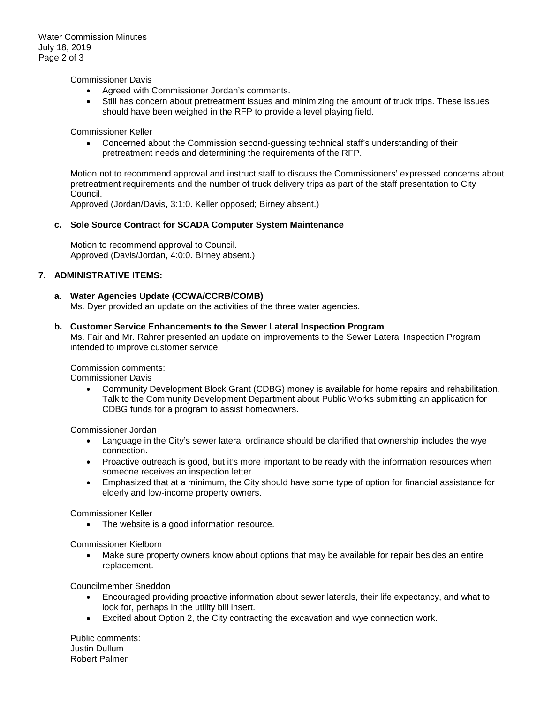Water Commission Minutes July 18, 2019 Page 2 of 3

Commissioner Davis

- Agreed with Commissioner Jordan's comments.
- Still has concern about pretreatment issues and minimizing the amount of truck trips. These issues should have been weighed in the RFP to provide a level playing field.

Commissioner Keller

• Concerned about the Commission second-guessing technical staff's understanding of their pretreatment needs and determining the requirements of the RFP.

Motion not to recommend approval and instruct staff to discuss the Commissioners' expressed concerns about pretreatment requirements and the number of truck delivery trips as part of the staff presentation to City Council.

Approved (Jordan/Davis, 3:1:0. Keller opposed; Birney absent.)

#### **c. Sole Source Contract for SCADA Computer System Maintenance**

Motion to recommend approval to Council. Approved (Davis/Jordan, 4:0:0. Birney absent.)

## **7. ADMINISTRATIVE ITEMS:**

#### **a. Water Agencies Update (CCWA/CCRB/COMB)**

Ms. Dyer provided an update on the activities of the three water agencies.

#### **b. Customer Service Enhancements to the Sewer Lateral Inspection Program**

Ms. Fair and Mr. Rahrer presented an update on improvements to the Sewer Lateral Inspection Program intended to improve customer service.

#### Commission comments:

Commissioner Davis

• Community Development Block Grant (CDBG) money is available for home repairs and rehabilitation. Talk to the Community Development Department about Public Works submitting an application for CDBG funds for a program to assist homeowners.

Commissioner Jordan

- Language in the City's sewer lateral ordinance should be clarified that ownership includes the wye connection.
- Proactive outreach is good, but it's more important to be ready with the information resources when someone receives an inspection letter.
- Emphasized that at a minimum, the City should have some type of option for financial assistance for elderly and low-income property owners.

Commissioner Keller

The website is a good information resource.

Commissioner Kielborn

• Make sure property owners know about options that may be available for repair besides an entire replacement.

Councilmember Sneddon

- Encouraged providing proactive information about sewer laterals, their life expectancy, and what to look for, perhaps in the utility bill insert.
- Excited about Option 2, the City contracting the excavation and wye connection work.

Public comments: Justin Dullum Robert Palmer